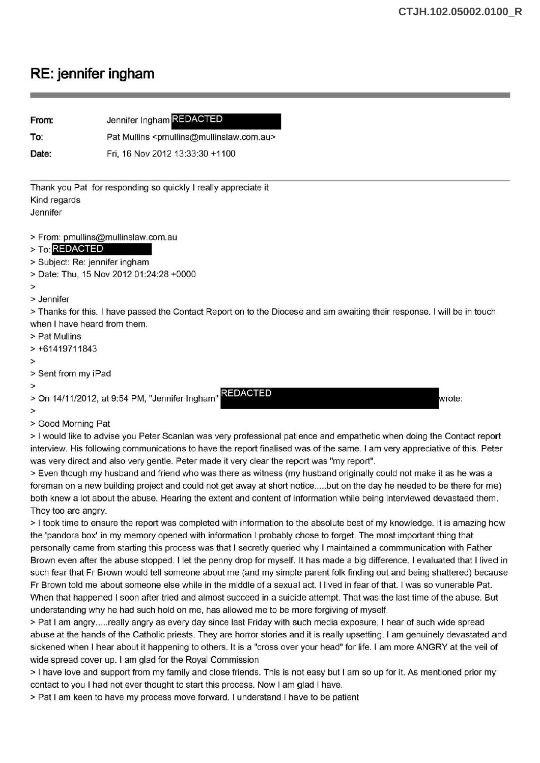## **RE: jennifer ingham**

| From:                                                                                                                  | Jennifer Ingham REDACTED                                                                                                 |
|------------------------------------------------------------------------------------------------------------------------|--------------------------------------------------------------------------------------------------------------------------|
| To:                                                                                                                    | Pat Mullins <pmullins@mullinslaw.com.au></pmullins@mullinslaw.com.au>                                                    |
| Date:                                                                                                                  | Fri, 16 Nov 2012 13:33:30 +1100                                                                                          |
| Kind regards<br>Jennifer                                                                                               | Thank you Pat for responding so quickly I really appreciate it                                                           |
| > To: REDACTED<br>> Subject: Re: jennifer ingham                                                                       | > From: pmullins@mullinslaw.com.au<br>> Date: Thu, 15 Nov 2012 01:24:28 +0000                                            |
| $\geq$<br>> Jennifer                                                                                                   |                                                                                                                          |
| when I have heard from them.<br>> Pat Mullins<br>$> +61419711843$                                                      | > Thanks for this. I have passed the Contact Report on to the Diocese and am awaiting their response. I will be in touch |
| $\,>\,$                                                                                                                |                                                                                                                          |
| > Sent from my iPad                                                                                                    |                                                                                                                          |
| $\geq$<br><b>REDACTED</b><br>> On 14/11/2012, at 9:54 PM, "Jennifer Ingham"<br>wrote:<br>$\geq$                        |                                                                                                                          |
| > Good Morning Pat                                                                                                     |                                                                                                                          |
| > I would like to advise you Peter Scanlan was very professional patience and empathetic when doing the Contact report |                                                                                                                          |

interview. His following communications to have the report finalised was of the same. I am very appreciative of this. Peter was very direct and also very gentle. Peter made it very clear the report was "my report".

> Even though my husband and friend who was there as witness (my husband originally could not make it as he was a foreman on a new building project and could not get away at short notice ..... but on the day he needed to be there for me) both knew a lot about the abuse. Hearing the extent and content of information while being interviewed devastaed them. They too are angry.

>I took time to ensure the report was completed with information to the absolute best of my knowledge. It is amazing how the 'pandora box' in my memory opened with information I probably chose to forget. The most important thing that personally came from starting this process was that I secretly queried why I maintained a commmunication with Father Brown even after the abuse stopped. I let the penny drop for myself. It has made a big difference. I evaluated that I lived in such fear that Fr Brown would tell someone about me (and my simple parent folk finding out and being shattered) because Fr Brown told me about someone else while in the middle of a sexual act. I lived in fear of that. I was so vunerable Pat. When that happened I soon after tried and almost succeed in a suicide attempt. That was the last time of the abuse. But understanding why he had such hold on me, has allowed me to be more forgiving of myself.

> Pat I am angry ..... really angry as every day since last Friday with such media exposure, I hear of such wide spread abuse at the hands of the Catholic priests. They are horror stories and it is really upsetting. I am genuinely devastated and sickened when I hear about it happening to others. It is a "cross over your head" for life. I am more ANGRY at the veil of wide spread cover up. I am glad for the Royal Commission

> I have love and support from my family and close friends. This is not easy but I am so up for it. As mentioned prior my contact to you I had not ever thought to start this process. Now I am glad I have.

>Pat I am keen to have my process move forward. I understand I have to be patient